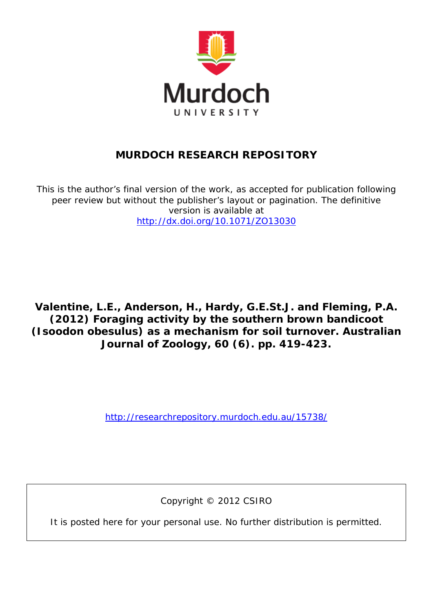

# **MURDOCH RESEARCH REPOSITORY**

*This is the author's final version of the work, as accepted for publication following peer review but without the publisher's layout or pagination. The definitive version is available at <http://dx.doi.org/10.1071/ZO13030>*

**Valentine, L.E., Anderson, H., Hardy, G.E.St.J. and Fleming, P.A. (2012) Foraging activity by the southern brown bandicoot (Isoodon obesulus) as a mechanism for soil turnover. Australian Journal of Zoology, 60 (6). pp. 419-423.**

<http://researchrepository.murdoch.edu.au/15738/>

Copyright © 2012 CSIRO

It is posted here for your personal use. No further distribution is permitted.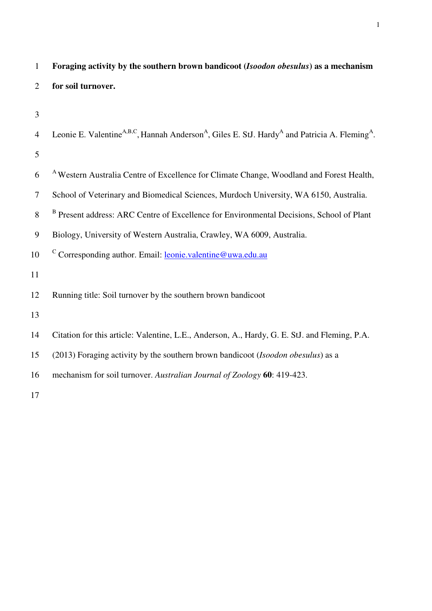| $\mathbf{1}$   | Foraging activity by the southern brown bandicoot (Isoodon obesulus) as a mechanism                                                           |
|----------------|-----------------------------------------------------------------------------------------------------------------------------------------------|
| 2              | for soil turnover.                                                                                                                            |
| 3              |                                                                                                                                               |
|                |                                                                                                                                               |
| $\overline{4}$ | Leonie E. Valentine <sup>A,B,C</sup> , Hannah Anderson <sup>A</sup> , Giles E. StJ. Hardy <sup>A</sup> and Patricia A. Fleming <sup>A</sup> . |
| 5              |                                                                                                                                               |
| 6              | <sup>A</sup> Western Australia Centre of Excellence for Climate Change, Woodland and Forest Health,                                           |
| 7              | School of Veterinary and Biomedical Sciences, Murdoch University, WA 6150, Australia.                                                         |
| 8              | <sup>B</sup> Present address: ARC Centre of Excellence for Environmental Decisions, School of Plant                                           |
| 9              | Biology, University of Western Australia, Crawley, WA 6009, Australia.                                                                        |
| 10             | <sup>C</sup> Corresponding author. Email: <b>leonie.valentine@uwa.edu.au</b>                                                                  |
| 11             |                                                                                                                                               |
| 12             | Running title: Soil turnover by the southern brown bandicoot                                                                                  |
| 13             |                                                                                                                                               |
| 14             | Citation for this article: Valentine, L.E., Anderson, A., Hardy, G. E. StJ. and Fleming, P.A.                                                 |
| 15             | (2013) Foraging activity by the southern brown bandicoot (Isoodon obesulus) as a                                                              |
| 16             | mechanism for soil turnover. Australian Journal of Zoology 60: 419-423.                                                                       |
| 17             |                                                                                                                                               |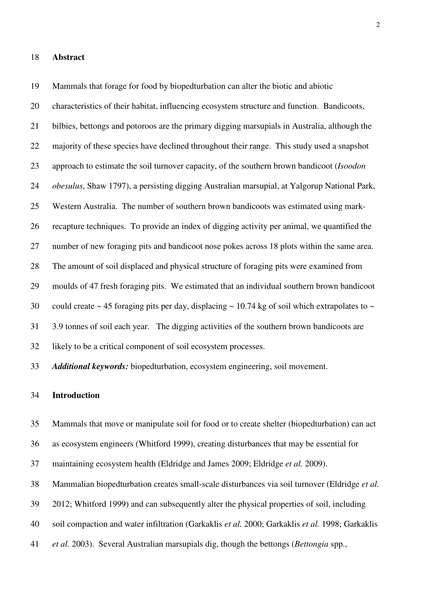#### 18 **Abstract**

19 Mammals that forage for food by biopedturbation can alter the biotic and abiotic 20 characteristics of their habitat, influencing ecosystem structure and function. Bandicoots, 21 bilbies, bettongs and potoroos are the primary digging marsupials in Australia, although the 22 majority of these species have declined throughout their range. This study used a snapshot 23 approach to estimate the soil turnover capacity, of the southern brown bandicoot (*Isoodon*  24 *obesulus*, Shaw 1797), a persisting digging Australian marsupial, at Yalgorup National Park, 25 Western Australia. The number of southern brown bandicoots was estimated using mark-26 recapture techniques. To provide an index of digging activity per animal, we quantified the 27 number of new foraging pits and bandicoot nose pokes across 18 plots within the same area. 28 The amount of soil displaced and physical structure of foraging pits were examined from 29 moulds of 47 fresh foraging pits. We estimated that an individual southern brown bandicoot 30 could create  $\sim$  45 foraging pits per day, displacing  $\sim$  10.74 kg of soil which extrapolates to  $\sim$ 31 3.9 tonnes of soil each year. The digging activities of the southern brown bandicoots are 32 likely to be a critical component of soil ecosystem processes.

33 *Additional keywords:* biopedturbation, ecosystem engineering, soil movement.

## 34 **Introduction**

35 Mammals that move or manipulate soil for food or to create shelter (biopedturbation) can act

36 as ecosystem engineers (Whitford 1999), creating disturbances that may be essential for

37 maintaining ecosystem health (Eldridge and James 2009; Eldridge *et al.* 2009).

38 Mammalian biopedturbation creates small-scale disturbances via soil turnover (Eldridge *et al.*

39 2012; Whitford 1999) and can subsequently alter the physical properties of soil, including

40 soil compaction and water infiltration (Garkaklis *et al.* 2000; Garkaklis *et al.* 1998; Garkaklis

41 *et al.* 2003). Several Australian marsupials dig, though the bettongs (*Bettongia* spp.,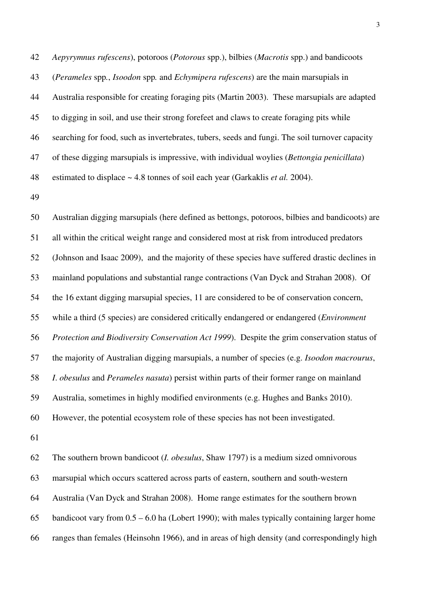42 *Aepyrymnus rufescens*), potoroos (*Potorous* spp.), bilbies (*Macrotis* spp.) and bandicoots 43 (*Perameles* spp*.*, *Isoodon* spp*.* and *Echymipera rufescens*) are the main marsupials in 44 Australia responsible for creating foraging pits (Martin 2003). These marsupials are adapted 45 to digging in soil, and use their strong forefeet and claws to create foraging pits while 46 searching for food, such as invertebrates, tubers, seeds and fungi. The soil turnover capacity 47 of these digging marsupials is impressive, with individual woylies (*Bettongia penicillata*) 48 estimated to displace ~ 4.8 tonnes of soil each year (Garkaklis *et al.* 2004).

49

50 Australian digging marsupials (here defined as bettongs, potoroos, bilbies and bandicoots) are 51 all within the critical weight range and considered most at risk from introduced predators 52 (Johnson and Isaac 2009), and the majority of these species have suffered drastic declines in 53 mainland populations and substantial range contractions (Van Dyck and Strahan 2008). Of 54 the 16 extant digging marsupial species, 11 are considered to be of conservation concern, 55 while a third (5 species) are considered critically endangered or endangered (*Environment*  56 *Protection and Biodiversity Conservation Act 1999*). Despite the grim conservation status of 57 the majority of Australian digging marsupials, a number of species (e.g. *Isoodon macrourus*, 58 *I*. *obesulus* and *Perameles nasuta*) persist within parts of their former range on mainland 59 Australia, sometimes in highly modified environments (e.g. Hughes and Banks 2010). 60 However, the potential ecosystem role of these species has not been investigated.

61

62 The southern brown bandicoot (*I. obesulus*, Shaw 1797) is a medium sized omnivorous 63 marsupial which occurs scattered across parts of eastern, southern and south-western 64 Australia (Van Dyck and Strahan 2008). Home range estimates for the southern brown 65 bandicoot vary from 0.5 – 6.0 ha (Lobert 1990); with males typically containing larger home 66 ranges than females (Heinsohn 1966), and in areas of high density (and correspondingly high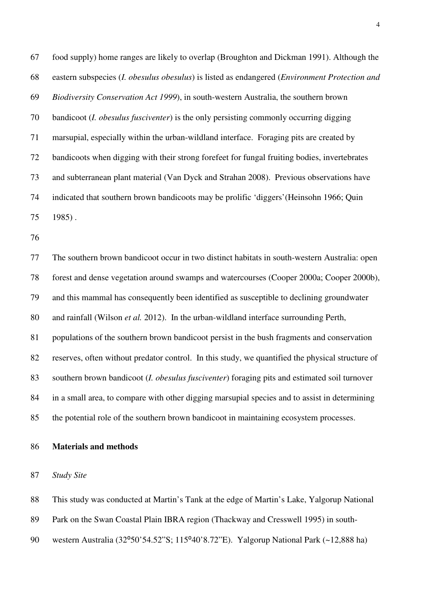67 food supply) home ranges are likely to overlap (Broughton and Dickman 1991). Although the 68 eastern subspecies (*I. obesulus obesulus*) is listed as endangered (*Environment Protection and*  69 *Biodiversity Conservation Act 1999*), in south-western Australia, the southern brown 70 bandicoot (*I. obesulus fusciventer*) is the only persisting commonly occurring digging 71 marsupial, especially within the urban-wildland interface. Foraging pits are created by 72 bandicoots when digging with their strong forefeet for fungal fruiting bodies, invertebrates 73 and subterranean plant material (Van Dyck and Strahan 2008). Previous observations have 74 indicated that southern brown bandicoots may be prolific 'diggers'(Heinsohn 1966; Quin 75 1985) .

76

77 The southern brown bandicoot occur in two distinct habitats in south-western Australia: open 78 forest and dense vegetation around swamps and watercourses (Cooper 2000a; Cooper 2000b), 79 and this mammal has consequently been identified as susceptible to declining groundwater 80 and rainfall (Wilson *et al.* 2012). In the urban-wildland interface surrounding Perth, 81 populations of the southern brown bandicoot persist in the bush fragments and conservation 82 reserves, often without predator control. In this study, we quantified the physical structure of 83 southern brown bandicoot (*I. obesulus fusciventer*) foraging pits and estimated soil turnover 84 in a small area, to compare with other digging marsupial species and to assist in determining 85 the potential role of the southern brown bandicoot in maintaining ecosystem processes.

86 **Materials and methods** 

## 87 *Study Site*

88 This study was conducted at Martin's Tank at the edge of Martin's Lake, Yalgorup National

89 Park on the Swan Coastal Plain IBRA region (Thackway and Cresswell 1995) in south-

90 western Australia (32°50'54.52"S; 115°40'8.72"E). Yalgorup National Park (~12,888 ha)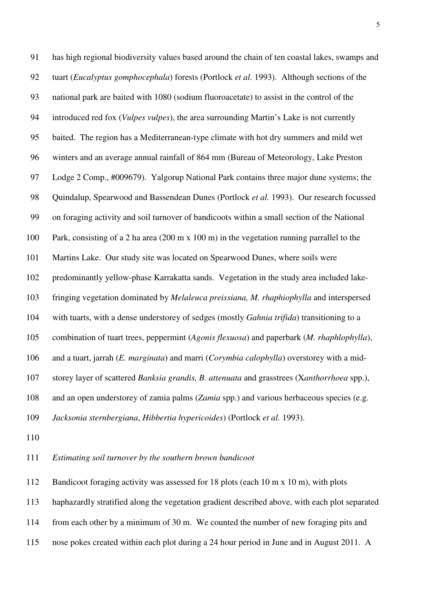91 has high regional biodiversity values based around the chain of ten coastal lakes, swamps and 92 tuart (*Eucalyptus gomphocephala*) forests (Portlock *et al.* 1993). Although sections of the 93 national park are baited with 1080 (sodium fluoroacetate) to assist in the control of the 94 introduced red fox (*Vulpes vulpes*), the area surrounding Martin's Lake is not currently 95 baited. The region has a Mediterranean-type climate with hot dry summers and mild wet 96 winters and an average annual rainfall of 864 mm (Bureau of Meteorology, Lake Preston 97 Lodge 2 Comp., #009679). Yalgorup National Park contains three major dune systems; the 98 Quindalup, Spearwood and Bassendean Dunes (Portlock *et al.* 1993). Our research focussed 99 on foraging activity and soil turnover of bandicoots within a small section of the National 100 Park, consisting of a 2 ha area (200 m x 100 m) in the vegetation running parrallel to the 101 Martins Lake. Our study site was located on Spearwood Dunes, where soils were 102 predominantly yellow-phase Karrakatta sands. Vegetation in the study area included lake-103 fringing vegetation dominated by *Melaleuca preissiana, M. rhaphiophylla* and interspersed 104 with tuarts, with a dense understorey of sedges (mostly *Gahnia trifida*) transitioning to a 105 combination of tuart trees, peppermint (*Agonis flexuosa*) and paperbark (*M. rhaphlophylla*), 106 and a tuart, jarrah (*E. marginata*) and marri (*Corymbia calophylla*) overstorey with a mid-107 storey layer of scattered *Banksia grandis, B. attenuata* and grasstrees (X*anthorrhoea* spp.), 108 and an open understorey of zamia palms (*Zamia* spp.) and various herbaceous species (e.g. 109 *Jacksonia sternbergiana*, *Hibbertia hypericoides*) (Portlock *et al.* 1993).

110

111 *Estimating soil turnover by the southern brown bandicoot* 

112 Bandicoot foraging activity was assessed for 18 plots (each 10 m x 10 m), with plots

113 haphazardly stratified along the vegetation gradient described above, with each plot separated

114 from each other by a minimum of 30 m. We counted the number of new foraging pits and

115 nose pokes created within each plot during a 24 hour period in June and in August 2011. A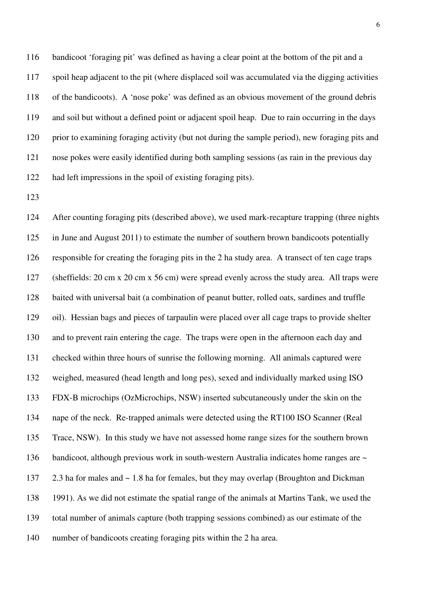116 bandicoot 'foraging pit' was defined as having a clear point at the bottom of the pit and a 117 spoil heap adjacent to the pit (where displaced soil was accumulated via the digging activities 118 of the bandicoots). A 'nose poke' was defined as an obvious movement of the ground debris 119 and soil but without a defined point or adjacent spoil heap. Due to rain occurring in the days 120 prior to examining foraging activity (but not during the sample period), new foraging pits and 121 nose pokes were easily identified during both sampling sessions (as rain in the previous day 122 had left impressions in the spoil of existing foraging pits).

123

124 After counting foraging pits (described above), we used mark-recapture trapping (three nights 125 in June and August 2011) to estimate the number of southern brown bandicoots potentially 126 responsible for creating the foraging pits in the 2 ha study area. A transect of ten cage traps 127 (sheffields: 20 cm x 20 cm x 56 cm) were spread evenly across the study area. All traps were 128 baited with universal bait (a combination of peanut butter, rolled oats, sardines and truffle 129 oil). Hessian bags and pieces of tarpaulin were placed over all cage traps to provide shelter 130 and to prevent rain entering the cage. The traps were open in the afternoon each day and 131 checked within three hours of sunrise the following morning. All animals captured were 132 weighed, measured (head length and long pes), sexed and individually marked using ISO 133 FDX-B microchips (OzMicrochips, NSW) inserted subcutaneously under the skin on the 134 nape of the neck. Re-trapped animals were detected using the RT100 ISO Scanner (Real 135 Trace, NSW). In this study we have not assessed home range sizes for the southern brown 136 bandicoot, although previous work in south-western Australia indicates home ranges are  $\sim$ 137 2.3 ha for males and ~ 1.8 ha for females, but they may overlap (Broughton and Dickman 138 1991). As we did not estimate the spatial range of the animals at Martins Tank, we used the 139 total number of animals capture (both trapping sessions combined) as our estimate of the 140 number of bandicoots creating foraging pits within the 2 ha area.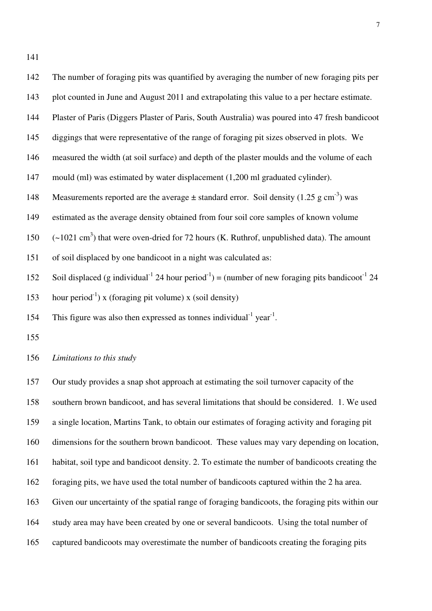141

| 142 | The number of foraging pits was quantified by averaging the number of new foraging pits per                                         |
|-----|-------------------------------------------------------------------------------------------------------------------------------------|
| 143 | plot counted in June and August 2011 and extrapolating this value to a per hectare estimate.                                        |
| 144 | Plaster of Paris (Diggers Plaster of Paris, South Australia) was poured into 47 fresh bandicoot                                     |
| 145 | diggings that were representative of the range of foraging pit sizes observed in plots. We                                          |
| 146 | measured the width (at soil surface) and depth of the plaster moulds and the volume of each                                         |
| 147 | mould (ml) was estimated by water displacement (1,200 ml graduated cylinder).                                                       |
| 148 | Measurements reported are the average $\pm$ standard error. Soil density (1.25 g cm <sup>-3</sup> ) was                             |
| 149 | estimated as the average density obtained from four soil core samples of known volume                                               |
| 150 | $(\sim 1021 \text{ cm}^3)$ that were oven-dried for 72 hours (K. Ruthrof, unpublished data). The amount                             |
| 151 | of soil displaced by one bandicoot in a night was calculated as:                                                                    |
| 152 | Soil displaced (g individual <sup>-1</sup> 24 hour period <sup>-1</sup> ) = (number of new foraging pits bandicoot <sup>-1</sup> 24 |
| 153 | hour period <sup>-1</sup> ) x (foraging pit volume) x (soil density)                                                                |
| 154 | This figure was also then expressed as tonnes individual $1$ year <sup>1</sup> .                                                    |
| 155 |                                                                                                                                     |
| 156 | Limitations to this study                                                                                                           |
| 157 | Our study provides a snap shot approach at estimating the soil turnover capacity of the                                             |

158 southern brown bandicoot, and has several limitations that should be considered. 1. We used

159 a single location, Martins Tank, to obtain our estimates of foraging activity and foraging pit

160 dimensions for the southern brown bandicoot. These values may vary depending on location,

161 habitat, soil type and bandicoot density. 2. To estimate the number of bandicoots creating the

162 foraging pits, we have used the total number of bandicoots captured within the 2 ha area.

163 Given our uncertainty of the spatial range of foraging bandicoots, the foraging pits within our

164 study area may have been created by one or several bandicoots. Using the total number of

165 captured bandicoots may overestimate the number of bandicoots creating the foraging pits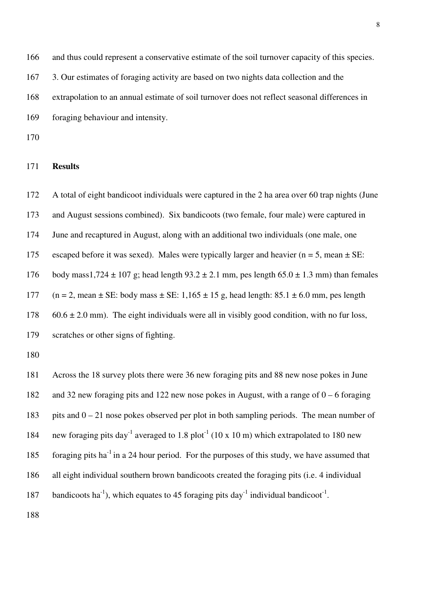166 and thus could represent a conservative estimate of the soil turnover capacity of this species. 167 3. Our estimates of foraging activity are based on two nights data collection and the 168 extrapolation to an annual estimate of soil turnover does not reflect seasonal differences in 169 foraging behaviour and intensity.

170

## 171 **Results**

172 A total of eight bandicoot individuals were captured in the 2 ha area over 60 trap nights (June 173 and August sessions combined). Six bandicoots (two female, four male) were captured in 174 June and recaptured in August, along with an additional two individuals (one male, one 175 escaped before it was sexed). Males were typically larger and heavier ( $n = 5$ , mean  $\pm$  SE: 176 body mass1,724  $\pm$  107 g; head length 93.2  $\pm$  2.1 mm, pes length 65.0  $\pm$  1.3 mm) than females 177 (n = 2, mean  $\pm$  SE: body mass  $\pm$  SE: 1,165  $\pm$  15 g, head length: 85.1  $\pm$  6.0 mm, pes length 178 60.6  $\pm$  2.0 mm). The eight individuals were all in visibly good condition, with no fur loss, 179 scratches or other signs of fighting. 180 181 Across the 18 survey plots there were 36 new foraging pits and 88 new nose pokes in June 182 and 32 new foraging pits and 122 new nose pokes in August, with a range of 0 – 6 foraging 183 pits and 0 – 21 nose pokes observed per plot in both sampling periods. The mean number of 184 new foraging pits day<sup>-1</sup> averaged to 1.8 plot<sup>-1</sup> (10 x 10 m) which extrapolated to 180 new 185 foraging pits ha<sup>-1</sup> in a 24 hour period. For the purposes of this study, we have assumed that 186 all eight individual southern brown bandicoots created the foraging pits (i.e. 4 individual

187 bandicoots ha<sup>-1</sup>), which equates to 45 foraging pits day<sup>-1</sup> individual bandicoot<sup>-1</sup>.

188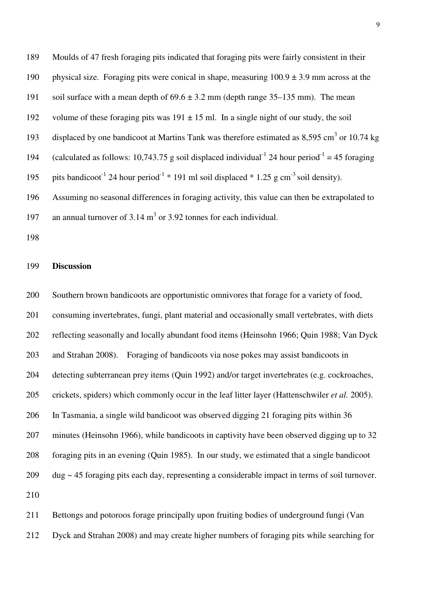189 Moulds of 47 fresh foraging pits indicated that foraging pits were fairly consistent in their 190 physical size. Foraging pits were conical in shape, measuring  $100.9 \pm 3.9$  mm across at the 191 soil surface with a mean depth of  $69.6 \pm 3.2$  mm (depth range 35–135 mm). The mean 192 volume of these foraging pits was  $191 \pm 15$  ml. In a single night of our study, the soil 193 displaced by one bandicoot at Martins Tank was therefore estimated as  $8,595 \text{ cm}^3$  or 10.74 kg 194 (calculated as follows: 10,743.75 g soil displaced individual<sup>-1</sup> 24 hour period<sup>-1</sup> = 45 foraging 195 pits bandicoot<sup>-1</sup> 24 hour period<sup>-1</sup>  $*$  191 ml soil displaced  $*$  1.25 g cm<sup>-3</sup> soil density). 196 Assuming no seasonal differences in foraging activity, this value can then be extrapolated to 197 an annual turnover of  $3.14 \text{ m}^3$  or  $3.92$  tonnes for each individual.

198

#### 199 **Discussion**

200 Southern brown bandicoots are opportunistic omnivores that forage for a variety of food, 201 consuming invertebrates, fungi, plant material and occasionally small vertebrates, with diets 202 reflecting seasonally and locally abundant food items (Heinsohn 1966; Quin 1988; Van Dyck 203 and Strahan 2008). Foraging of bandicoots via nose pokes may assist bandicoots in 204 detecting subterranean prey items (Quin 1992) and/or target invertebrates (e.g. cockroaches, 205 crickets, spiders) which commonly occur in the leaf litter layer (Hattenschwiler *et al.* 2005). 206 In Tasmania, a single wild bandicoot was observed digging 21 foraging pits within 36 207 minutes (Heinsohn 1966), while bandicoots in captivity have been observed digging up to 32 208 foraging pits in an evening (Quin 1985). In our study, we estimated that a single bandicoot 209 dug ~ 45 foraging pits each day, representing a considerable impact in terms of soil turnover. 210

211 Bettongs and potoroos forage principally upon fruiting bodies of underground fungi (Van 212 Dyck and Strahan 2008) and may create higher numbers of foraging pits while searching for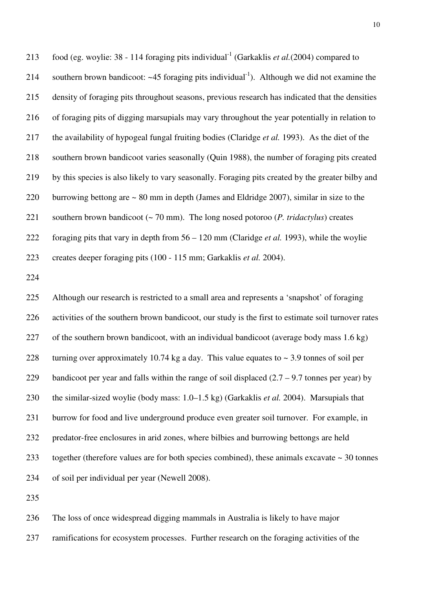213 food (eg. woylie:  $38 - 114$  foraging pits individual<sup>-1</sup> (Garkaklis *et al.*(2004) compared to 214 southern brown bandicoot:  $\sim$  45 foraging pits individual<sup>-1</sup>). Although we did not examine the 215 density of foraging pits throughout seasons, previous research has indicated that the densities 216 of foraging pits of digging marsupials may vary throughout the year potentially in relation to 217 the availability of hypogeal fungal fruiting bodies (Claridge *et al.* 1993). As the diet of the 218 southern brown bandicoot varies seasonally (Quin 1988), the number of foraging pits created 219 by this species is also likely to vary seasonally. Foraging pits created by the greater bilby and 220 burrowing bettong are ~ 80 mm in depth (James and Eldridge 2007), similar in size to the 221 southern brown bandicoot (~ 70 mm). The long nosed potoroo (*P. tridactylus*) creates 222 foraging pits that vary in depth from 56 – 120 mm (Claridge *et al.* 1993), while the woylie 223 creates deeper foraging pits (100 - 115 mm; Garkaklis *et al.* 2004).

224

225 Although our research is restricted to a small area and represents a 'snapshot' of foraging 226 activities of the southern brown bandicoot, our study is the first to estimate soil turnover rates 227 of the southern brown bandicoot, with an individual bandicoot (average body mass 1.6 kg) 228 turning over approximately 10.74 kg a day. This value equates to  $\sim$  3.9 tonnes of soil per 229 bandicoot per year and falls within the range of soil displaced  $(2.7 - 9.7)$  tonnes per year) by 230 the similar-sized woylie (body mass: 1.0–1.5 kg) (Garkaklis *et al.* 2004). Marsupials that 231 burrow for food and live underground produce even greater soil turnover. For example, in 232 predator-free enclosures in arid zones, where bilbies and burrowing bettongs are held 233 together (therefore values are for both species combined), these animals excavate ~ 30 tonnes 234 of soil per individual per year (Newell 2008).

235

236 The loss of once widespread digging mammals in Australia is likely to have major 237 ramifications for ecosystem processes. Further research on the foraging activities of the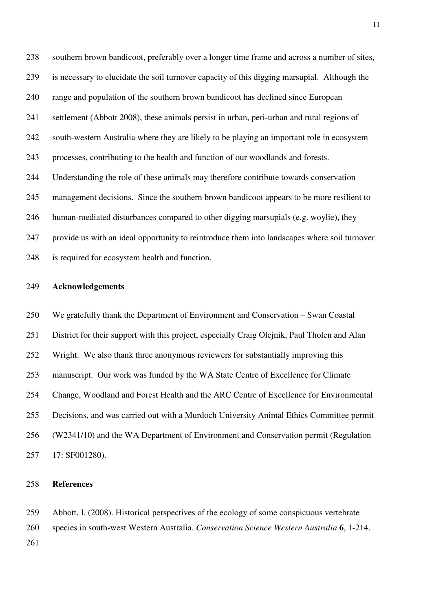238 southern brown bandicoot, preferably over a longer time frame and across a number of sites, 239 is necessary to elucidate the soil turnover capacity of this digging marsupial. Although the 240 range and population of the southern brown bandicoot has declined since European 241 settlement (Abbott 2008), these animals persist in urban, peri-urban and rural regions of 242 south-western Australia where they are likely to be playing an important role in ecosystem 243 processes, contributing to the health and function of our woodlands and forests. 244 Understanding the role of these animals may therefore contribute towards conservation 245 management decisions. Since the southern brown bandicoot appears to be more resilient to 246 human-mediated disturbances compared to other digging marsupials (e.g. woylie), they 247 provide us with an ideal opportunity to reintroduce them into landscapes where soil turnover 248 is required for ecosystem health and function.

#### 249 **Acknowledgements**

250 We gratefully thank the Department of Environment and Conservation – Swan Coastal 251 District for their support with this project, especially Craig Olejnik, Paul Tholen and Alan 252 Wright. We also thank three anonymous reviewers for substantially improving this 253 manuscript. Our work was funded by the WA State Centre of Excellence for Climate 254 Change, Woodland and Forest Health and the ARC Centre of Excellence for Environmental 255 Decisions, and was carried out with a Murdoch University Animal Ethics Committee permit 256 (W2341/10) and the WA Department of Environment and Conservation permit (Regulation 257 17: SF001280).

#### 258 **References**

259 Abbott, I. (2008). Historical perspectives of the ecology of some conspicuous vertebrate 260 species in south-west Western Australia. *Conservation Science Western Australia* **6**, 1-214. 261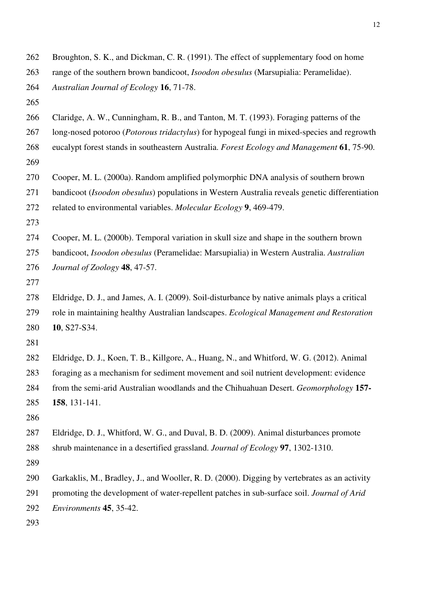| 262 | Broughton, S. K., and Dickman, C. R. (1991). The effect of supplementary food on home               |
|-----|-----------------------------------------------------------------------------------------------------|
| 263 | range of the southern brown bandicoot, Isoodon obesulus (Marsupialia: Peramelidae).                 |
| 264 | Australian Journal of Ecology 16, 71-78.                                                            |
| 265 |                                                                                                     |
| 266 | Claridge, A. W., Cunningham, R. B., and Tanton, M. T. (1993). Foraging patterns of the              |
| 267 | long-nosed potoroo ( <i>Potorous tridactylus</i> ) for hypogeal fungi in mixed-species and regrowth |
| 268 | eucalypt forest stands in southeastern Australia. Forest Ecology and Management 61, 75-90.          |
| 269 |                                                                                                     |
| 270 | Cooper, M. L. (2000a). Random amplified polymorphic DNA analysis of southern brown                  |
| 271 | bandicoot (Isoodon obesulus) populations in Western Australia reveals genetic differentiation       |
| 272 | related to environmental variables. Molecular Ecology 9, 469-479.                                   |
| 273 |                                                                                                     |
| 274 | Cooper, M. L. (2000b). Temporal variation in skull size and shape in the southern brown             |
| 275 | bandicoot, Isoodon obesulus (Peramelidae: Marsupialia) in Western Australia. Australian             |
| 276 | Journal of Zoology 48, 47-57.                                                                       |
| 277 |                                                                                                     |
| 278 | Eldridge, D. J., and James, A. I. (2009). Soil-disturbance by native animals plays a critical       |
| 279 | role in maintaining healthy Australian landscapes. Ecological Management and Restoration            |
| 280 | 10, S27-S34.                                                                                        |
| 281 |                                                                                                     |
| 282 | Eldridge, D. J., Koen, T. B., Killgore, A., Huang, N., and Whitford, W. G. (2012). Animal           |
| 283 | foraging as a mechanism for sediment movement and soil nutrient development: evidence               |
| 284 | from the semi-arid Australian woodlands and the Chihuahuan Desert. Geomorphology 157-               |
| 285 | 158, 131-141.                                                                                       |
| 286 |                                                                                                     |
| 287 | Eldridge, D. J., Whitford, W. G., and Duval, B. D. (2009). Animal disturbances promote              |
| 288 | shrub maintenance in a desertified grassland. Journal of Ecology 97, 1302-1310.                     |
| 289 |                                                                                                     |
| 290 | Garkaklis, M., Bradley, J., and Wooller, R. D. (2000). Digging by vertebrates as an activity        |
| 291 | promoting the development of water-repellent patches in sub-surface soil. Journal of Arid           |
| 292 | Environments 45, 35-42.                                                                             |
| 293 |                                                                                                     |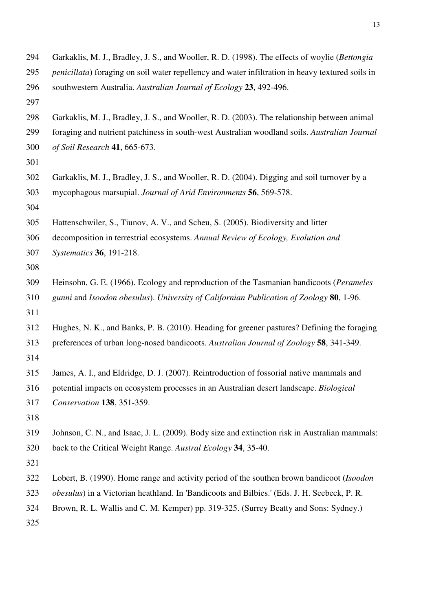- 294 Garkaklis, M. J., Bradley, J. S., and Wooller, R. D. (1998). The effects of woylie (*Bettongia*
- 295 *penicillata*) foraging on soil water repellency and water infiltration in heavy textured soils in
- 296 southwestern Australia. *Australian Journal of Ecology* **23**, 492-496.
- 297
- 298 Garkaklis, M. J., Bradley, J. S., and Wooller, R. D. (2003). The relationship between animal
- 299 foraging and nutrient patchiness in south-west Australian woodland soils. *Australian Journal*
- 300 *of Soil Research* **41**, 665-673.
- 301
- 302 Garkaklis, M. J., Bradley, J. S., and Wooller, R. D. (2004). Digging and soil turnover by a 303 mycophagous marsupial. *Journal of Arid Environments* **56**, 569-578.
- 304
- 305 Hattenschwiler, S., Tiunov, A. V., and Scheu, S. (2005). Biodiversity and litter
- 306 decomposition in terrestrial ecosystems. *Annual Review of Ecology, Evolution and*
- 307 *Systematics* **36**, 191-218.
- 308
- 309 Heinsohn, G. E. (1966). Ecology and reproduction of the Tasmanian bandicoots (*Perameles*
- 310 *gunni* and *Isoodon obesulus*). *University of Californian Publication of Zoology* **80**, 1-96.
- 311
- 312 Hughes, N. K., and Banks, P. B. (2010). Heading for greener pastures? Defining the foraging
- 313 preferences of urban long-nosed bandicoots. *Australian Journal of Zoology* **58**, 341-349.
- 314
- 315 James, A. I., and Eldridge, D. J. (2007). Reintroduction of fossorial native mammals and
- 316 potential impacts on ecosystem processes in an Australian desert landscape. *Biological*
- 317 *Conservation* **138**, 351-359.
- 318
- 319 Johnson, C. N., and Isaac, J. L. (2009). Body size and extinction risk in Australian mammals: 320 back to the Critical Weight Range. *Austral Ecology* **34**, 35-40.
- 321
- 322 Lobert, B. (1990). Home range and activity period of the southen brown bandicoot (*Isoodon*
- 323 *obesulus*) in a Victorian heathland. In 'Bandicoots and Bilbies.' (Eds. J. H. Seebeck, P. R.
- 324 Brown, R. L. Wallis and C. M. Kemper) pp. 319-325. (Surrey Beatty and Sons: Sydney.)
- 325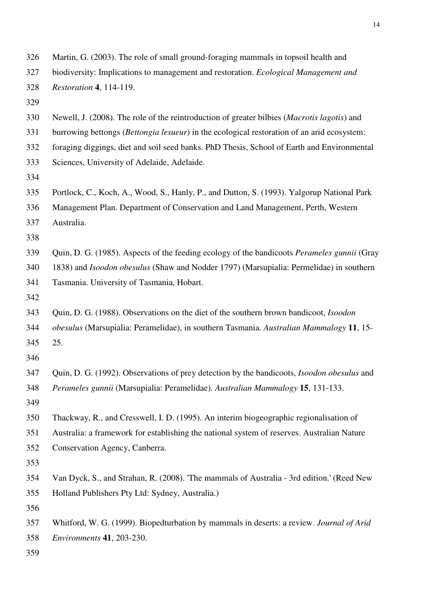| 326 | Martin, G. (2003). The role of small ground-foraging mammals in topsoil health and                   |
|-----|------------------------------------------------------------------------------------------------------|
| 327 | biodiversity: Implications to management and restoration. Ecological Management and                  |
| 328 | <i>Restoration</i> 4, 114-119.                                                                       |
| 329 |                                                                                                      |
| 330 | Newell, J. (2008). The role of the reintroduction of greater bilbies ( <i>Macrotis lagotis</i> ) and |
| 331 | burrowing bettongs (Bettongia lesueur) in the ecological restoration of an arid ecosystem:           |
| 332 | foraging diggings, diet and soil seed banks. PhD Thesis, School of Earth and Environmental           |
| 333 | Sciences, University of Adelaide, Adelaide.                                                          |
| 334 |                                                                                                      |
| 335 | Portlock, C., Koch, A., Wood, S., Hanly, P., and Dutton, S. (1993). Yalgorup National Park           |
| 336 | Management Plan. Department of Conservation and Land Management, Perth, Western                      |
| 337 | Australia.                                                                                           |
| 338 |                                                                                                      |
| 339 | Quin, D. G. (1985). Aspects of the feeding ecology of the bandicoots Perameles gunnii (Gray          |
| 340 | 1838) and <i>Isoodon obesulus</i> (Shaw and Nodder 1797) (Marsupialia: Permelidae) in southern       |
| 341 | Tasmania. University of Tasmania, Hobart.                                                            |
| 342 |                                                                                                      |
| 343 | Quin, D. G. (1988). Observations on the diet of the southern brown bandicoot, Isoodon                |
| 344 | obesulus (Marsupialia: Peramelidae), in southern Tasmania. Australian Mammalogy 11, 15-              |
| 345 | 25.                                                                                                  |
| 346 |                                                                                                      |
| 347 | Quin, D. G. (1992). Observations of prey detection by the bandicoots, Isoodon obesulus and           |
| 348 | Perameles gunnii (Marsupialia: Peramelidae). Australian Mammalogy 15, 131-133.                       |
| 349 |                                                                                                      |
| 350 | Thackway, R., and Cresswell, I. D. (1995). An interim biogeographic regionalisation of               |
| 351 | Australia: a framework for establishing the national system of reserves. Australian Nature           |
| 352 | Conservation Agency, Canberra.                                                                       |
| 353 |                                                                                                      |
| 354 | Van Dyck, S., and Strahan, R. (2008). 'The mammals of Australia - 3rd edition.' (Reed New            |
| 355 | Holland Publishers Pty Ltd: Sydney, Australia.)                                                      |
| 356 |                                                                                                      |
| 357 | Whitford, W. G. (1999). Biopedturbation by mammals in deserts: a review. Journal of Arid             |
| 358 | Environments 41, 203-230.                                                                            |
| 359 |                                                                                                      |